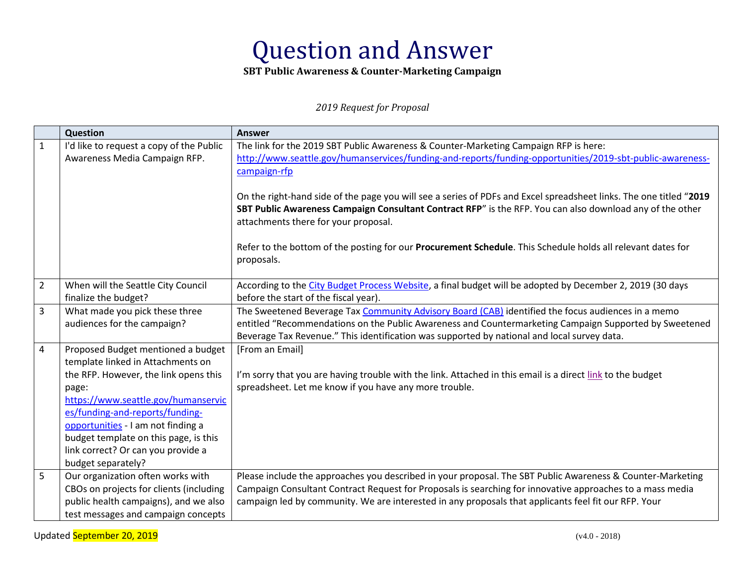**SBT Public Awareness & Counter-Marketing Campaign** 

*2019 Request for Proposal* 

|                | <b>Question</b>                          | <b>Answer</b>                                                                                                      |
|----------------|------------------------------------------|--------------------------------------------------------------------------------------------------------------------|
| $\mathbf{1}$   | I'd like to request a copy of the Public | The link for the 2019 SBT Public Awareness & Counter-Marketing Campaign RFP is here:                               |
|                | Awareness Media Campaign RFP.            | http://www.seattle.gov/humanservices/funding-and-reports/funding-opportunities/2019-sbt-public-awareness-          |
|                |                                          | campaign-rfp                                                                                                       |
|                |                                          |                                                                                                                    |
|                |                                          | On the right-hand side of the page you will see a series of PDFs and Excel spreadsheet links. The one titled "2019 |
|                |                                          | SBT Public Awareness Campaign Consultant Contract RFP" is the RFP. You can also download any of the other          |
|                |                                          | attachments there for your proposal.                                                                               |
|                |                                          |                                                                                                                    |
|                |                                          | Refer to the bottom of the posting for our Procurement Schedule. This Schedule holds all relevant dates for        |
|                |                                          | proposals.                                                                                                         |
| $\overline{2}$ | When will the Seattle City Council       | According to the City Budget Process Website, a final budget will be adopted by December 2, 2019 (30 days          |
|                | finalize the budget?                     | before the start of the fiscal year).                                                                              |
| 3              | What made you pick these three           | The Sweetened Beverage Tax Community Advisory Board (CAB) identified the focus audiences in a memo                 |
|                | audiences for the campaign?              | entitled "Recommendations on the Public Awareness and Countermarketing Campaign Supported by Sweetened             |
|                |                                          | Beverage Tax Revenue." This identification was supported by national and local survey data.                        |
| 4              | Proposed Budget mentioned a budget       | [From an Email]                                                                                                    |
|                | template linked in Attachments on        |                                                                                                                    |
|                | the RFP. However, the link opens this    | I'm sorry that you are having trouble with the link. Attached in this email is a direct link to the budget         |
|                | page:                                    | spreadsheet. Let me know if you have any more trouble.                                                             |
|                | https://www.seattle.gov/humanservic      |                                                                                                                    |
|                | es/funding-and-reports/funding-          |                                                                                                                    |
|                | opportunities - I am not finding a       |                                                                                                                    |
|                | budget template on this page, is this    |                                                                                                                    |
|                | link correct? Or can you provide a       |                                                                                                                    |
|                | budget separately?                       |                                                                                                                    |
| 5              | Our organization often works with        | Please include the approaches you described in your proposal. The SBT Public Awareness & Counter-Marketing         |
|                | CBOs on projects for clients (including  | Campaign Consultant Contract Request for Proposals is searching for innovative approaches to a mass media          |
|                | public health campaigns), and we also    | campaign led by community. We are interested in any proposals that applicants feel fit our RFP. Your               |
|                | test messages and campaign concepts      |                                                                                                                    |

Updated September 20, 2019 (v4.0 - 2018)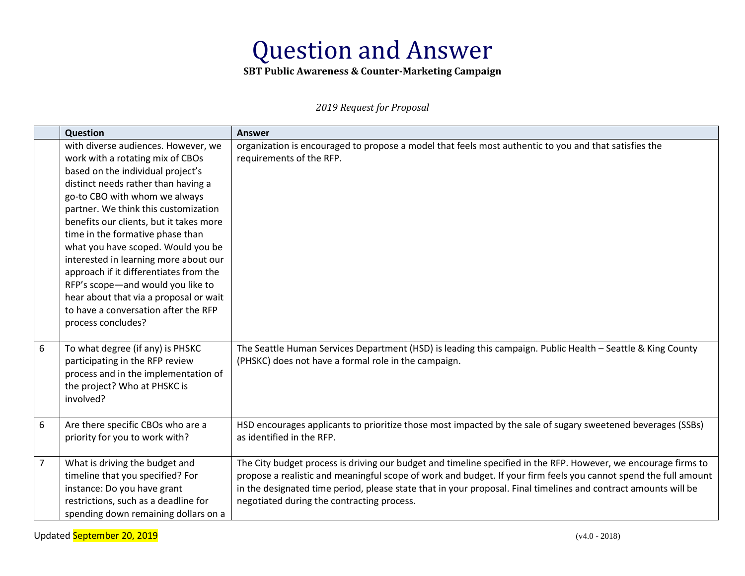**SBT Public Awareness & Counter-Marketing Campaign** 

*2019 Request for Proposal* 

|                | Question                                | <b>Answer</b>                                                                                                    |
|----------------|-----------------------------------------|------------------------------------------------------------------------------------------------------------------|
|                | with diverse audiences. However, we     | organization is encouraged to propose a model that feels most authentic to you and that satisfies the            |
|                | work with a rotating mix of CBOs        | requirements of the RFP.                                                                                         |
|                | based on the individual project's       |                                                                                                                  |
|                | distinct needs rather than having a     |                                                                                                                  |
|                | go-to CBO with whom we always           |                                                                                                                  |
|                | partner. We think this customization    |                                                                                                                  |
|                | benefits our clients, but it takes more |                                                                                                                  |
|                | time in the formative phase than        |                                                                                                                  |
|                | what you have scoped. Would you be      |                                                                                                                  |
|                | interested in learning more about our   |                                                                                                                  |
|                | approach if it differentiates from the  |                                                                                                                  |
|                | RFP's scope-and would you like to       |                                                                                                                  |
|                | hear about that via a proposal or wait  |                                                                                                                  |
|                | to have a conversation after the RFP    |                                                                                                                  |
|                | process concludes?                      |                                                                                                                  |
|                |                                         |                                                                                                                  |
| 6              | To what degree (if any) is PHSKC        | The Seattle Human Services Department (HSD) is leading this campaign. Public Health - Seattle & King County      |
|                | participating in the RFP review         | (PHSKC) does not have a formal role in the campaign.                                                             |
|                | process and in the implementation of    |                                                                                                                  |
|                | the project? Who at PHSKC is            |                                                                                                                  |
|                | involved?                               |                                                                                                                  |
|                |                                         |                                                                                                                  |
| 6              | Are there specific CBOs who are a       | HSD encourages applicants to prioritize those most impacted by the sale of sugary sweetened beverages (SSBs)     |
|                | priority for you to work with?          | as identified in the RFP.                                                                                        |
|                |                                         |                                                                                                                  |
| $\overline{7}$ | What is driving the budget and          | The City budget process is driving our budget and timeline specified in the RFP. However, we encourage firms to  |
|                | timeline that you specified? For        | propose a realistic and meaningful scope of work and budget. If your firm feels you cannot spend the full amount |
|                | instance: Do you have grant             | in the designated time period, please state that in your proposal. Final timelines and contract amounts will be  |
|                | restrictions, such as a deadline for    | negotiated during the contracting process.                                                                       |
|                | spending down remaining dollars on a    |                                                                                                                  |

Updated September 20, 2019 (v4.0 - 2018)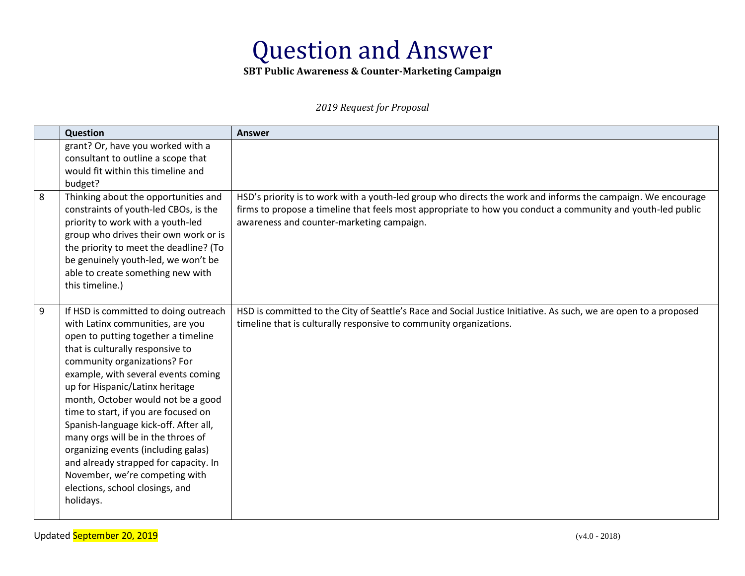**SBT Public Awareness & Counter-Marketing Campaign** 

*2019 Request for Proposal* 

|   | Question                                                                                                                                                                                                                                                                                                                                                                                                                                                                                                                                                                                      | <b>Answer</b>                                                                                                                                                                                                                                                            |
|---|-----------------------------------------------------------------------------------------------------------------------------------------------------------------------------------------------------------------------------------------------------------------------------------------------------------------------------------------------------------------------------------------------------------------------------------------------------------------------------------------------------------------------------------------------------------------------------------------------|--------------------------------------------------------------------------------------------------------------------------------------------------------------------------------------------------------------------------------------------------------------------------|
|   | grant? Or, have you worked with a<br>consultant to outline a scope that<br>would fit within this timeline and                                                                                                                                                                                                                                                                                                                                                                                                                                                                                 |                                                                                                                                                                                                                                                                          |
| 8 | budget?<br>Thinking about the opportunities and<br>constraints of youth-led CBOs, is the<br>priority to work with a youth-led<br>group who drives their own work or is<br>the priority to meet the deadline? (To<br>be genuinely youth-led, we won't be<br>able to create something new with<br>this timeline.)                                                                                                                                                                                                                                                                               | HSD's priority is to work with a youth-led group who directs the work and informs the campaign. We encourage<br>firms to propose a timeline that feels most appropriate to how you conduct a community and youth-led public<br>awareness and counter-marketing campaign. |
| 9 | If HSD is committed to doing outreach<br>with Latinx communities, are you<br>open to putting together a timeline<br>that is culturally responsive to<br>community organizations? For<br>example, with several events coming<br>up for Hispanic/Latinx heritage<br>month, October would not be a good<br>time to start, if you are focused on<br>Spanish-language kick-off. After all,<br>many orgs will be in the throes of<br>organizing events (including galas)<br>and already strapped for capacity. In<br>November, we're competing with<br>elections, school closings, and<br>holidays. | HSD is committed to the City of Seattle's Race and Social Justice Initiative. As such, we are open to a proposed<br>timeline that is culturally responsive to community organizations.                                                                                   |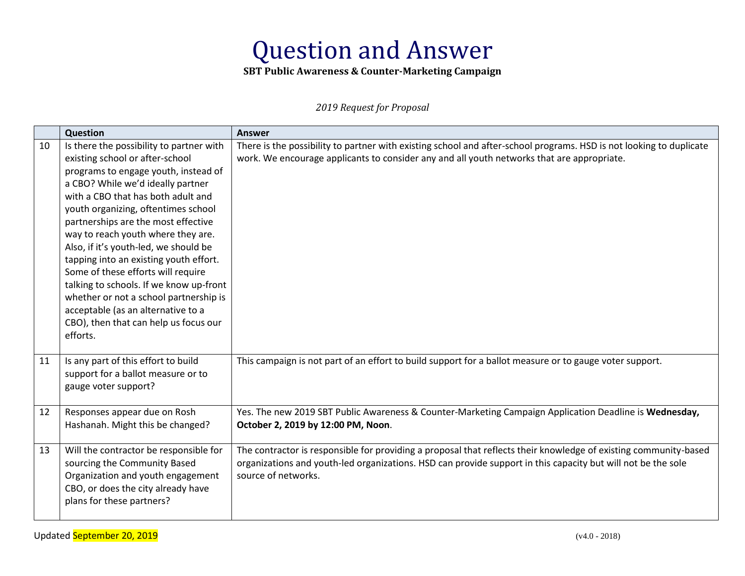**SBT Public Awareness & Counter-Marketing Campaign** 

*2019 Request for Proposal* 

|    | Question                                                                                                                                                                                                                                                                                                                                                                                                                                                                                                                                                                                                                    | <b>Answer</b>                                                                                                                                                                                                                                           |
|----|-----------------------------------------------------------------------------------------------------------------------------------------------------------------------------------------------------------------------------------------------------------------------------------------------------------------------------------------------------------------------------------------------------------------------------------------------------------------------------------------------------------------------------------------------------------------------------------------------------------------------------|---------------------------------------------------------------------------------------------------------------------------------------------------------------------------------------------------------------------------------------------------------|
| 10 | Is there the possibility to partner with<br>existing school or after-school<br>programs to engage youth, instead of<br>a CBO? While we'd ideally partner<br>with a CBO that has both adult and<br>youth organizing, oftentimes school<br>partnerships are the most effective<br>way to reach youth where they are.<br>Also, if it's youth-led, we should be<br>tapping into an existing youth effort.<br>Some of these efforts will require<br>talking to schools. If we know up-front<br>whether or not a school partnership is<br>acceptable (as an alternative to a<br>CBO), then that can help us focus our<br>efforts. | There is the possibility to partner with existing school and after-school programs. HSD is not looking to duplicate<br>work. We encourage applicants to consider any and all youth networks that are appropriate.                                       |
| 11 | Is any part of this effort to build<br>support for a ballot measure or to<br>gauge voter support?                                                                                                                                                                                                                                                                                                                                                                                                                                                                                                                           | This campaign is not part of an effort to build support for a ballot measure or to gauge voter support.                                                                                                                                                 |
| 12 | Responses appear due on Rosh<br>Hashanah. Might this be changed?                                                                                                                                                                                                                                                                                                                                                                                                                                                                                                                                                            | Yes. The new 2019 SBT Public Awareness & Counter-Marketing Campaign Application Deadline is Wednesday,<br>October 2, 2019 by 12:00 PM, Noon.                                                                                                            |
| 13 | Will the contractor be responsible for<br>sourcing the Community Based<br>Organization and youth engagement<br>CBO, or does the city already have<br>plans for these partners?                                                                                                                                                                                                                                                                                                                                                                                                                                              | The contractor is responsible for providing a proposal that reflects their knowledge of existing community-based<br>organizations and youth-led organizations. HSD can provide support in this capacity but will not be the sole<br>source of networks. |